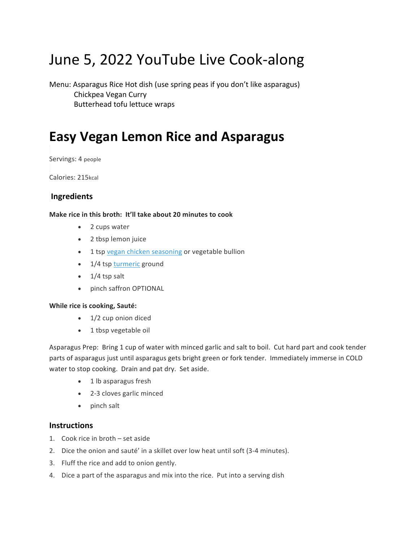# June 5, 2022 YouTube Live Cook-along

Menu: Asparagus Rice Hot dish (use spring peas if you don't like asparagus) Chickpea Vegan Curry Butterhead tofu lettuce wraps

### **Easy Vegan Lemon Rice and Asparagus**

Servings: 4 people

Calories: 215kcal

#### **Ingredients**

#### **Make rice in this broth: It'll take about 20 minutes to cook**

- 2 cups water
- 2 tbsp lemon juice
- 1 tsp vegan chicken seasoning or vegetable bullion
- 1/4 tsp turmeric ground
- $\bullet$  1/4 tsp salt
- pinch saffron OPTIONAL

#### **While rice is cooking, Sauté:**

- 1/2 cup onion diced
- $\bullet$  1 tbsp vegetable oil

Asparagus Prep: Bring 1 cup of water with minced garlic and salt to boil. Cut hard part and cook tender parts of asparagus just until asparagus gets bright green or fork tender. Immediately immerse in COLD water to stop cooking. Drain and pat dry. Set aside.

- 1 lb asparagus fresh
- 2-3 cloves garlic minced
- pinch salt

#### **Instructions**

- 1. Cook rice in broth  $-$  set aside
- 2. Dice the onion and sauté' in a skillet over low heat until soft (3-4 minutes).
- 3. Fluff the rice and add to onion gently.
- 4. Dice a part of the asparagus and mix into the rice. Put into a serving dish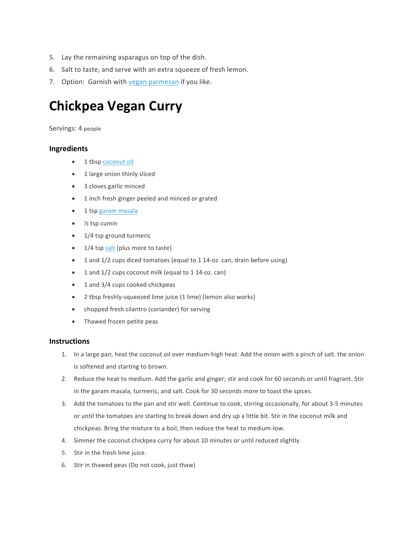- 5. Lay the remaining asparagus on top of the dish.
- 6. Salt to taste, and serve with an extra squeeze of fresh lemon.
- 7. Option: Garnish with vegan parmesan if you like.

### **Chickpea Vegan Curry**

Servings: 4 people

#### **Ingredients**

- 1 tbsp coconut oil
- 1 large onion thinly sliced
- 3 cloves garlic minced
- 1 inch fresh ginger peeled and minced or grated
- 1 tsp garam masala
- $\bullet$  % tsp cumin
- $\bullet$  1/4 tsp ground turmeric
- 1/4 tsp salt (plus more to taste)
- 1 and 1/2 cups diced tomatoes (equal to 1 14-oz. can; drain before using)
- 1 and 1/2 cups coconut milk (equal to 1 14-oz. can)
- 1 and 3/4 cups cooked chickpeas
- 2 tbsp freshly-squeezed lime juice (1 lime) (lemon also works)
- chopped fresh cilantro (coriander) for serving
- Thawed frozen petite peas

#### **Instructions**

- 1. In a large pan, heat the coconut oil over medium-high heat. Add the onion with a pinch of salt. the onion is softened and starting to brown.
- 2. Reduce the heat to medium. Add the garlic and ginger; stir and cook for 60 seconds or until fragrant. Stir in the garam masala, turmeric, and salt. Cook for 30 seconds more to toast the spices.
- 3. Add the tomatoes to the pan and stir well. Continue to cook, stirring occasionally, for about 3-5 minutes or until the tomatoes are starting to break down and dry up a little bit. Stir in the coconut milk and chickpeas. Bring the mixture to a boil, then reduce the heat to medium-low.
- 4. Simmer the coconut chickpea curry for about 10 minutes or until reduced slightly.
- 5. Stir in the fresh lime juice.
- 6. Stir in thawed peas (Do not cook, just thaw)